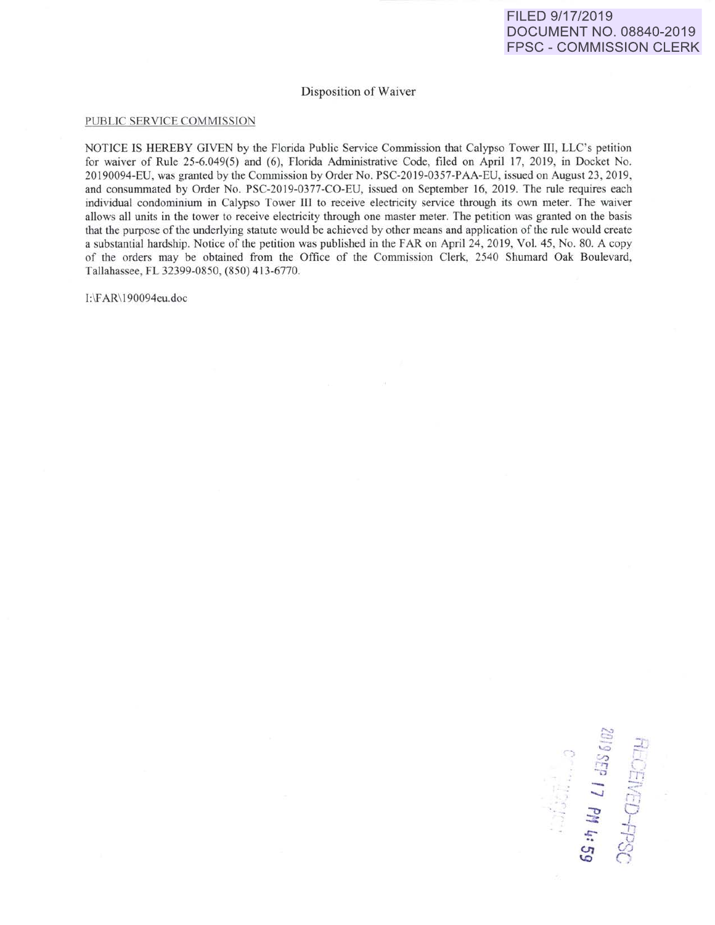## Disposition of Waiver

## PUBLIC SERVICE COMMISSION

NOTICE IS HEREBY GIVEN by the Florida Public Service Commission that Calypso Tower III, LLC's petition for waiver of Rule 25-6.049(5) and (6), Florida Administrative Code, filed on April 17, 2019, in Docket No. 20190094-EU, was granted by the Commission by Order No. PSC-2019-0357-PAA-EU, issued on August 23, 2019, and consummated by Order No. PSC-2019-0377-CO-EU, issued on September 16, 2019. The rule requires each individual condominium in Calypso Tower III to receive electricity service through its own meter. The waiver allows all units in the tower to receive electricity through one master meter. The petition was granted on the basis that the purpose of the underlying statute would be achieved by other means and application of the rule would create a substantial hardship. Notice of the petition was published in the FAR on April 24, 2019, Vol. 45, No. 80. A copy of the orders may be obtained from the Office of the Commission Clerk, 2540 Shumard Oak Boulevard, Tallahassee, FL 32399-0850, (850) 413-6770.

1:\FAR\ 190094eu.doc

د . . . 3<br>تا 386/07<br>HECE *-....)* - ,--rl; .., 5D-FP<sub>X</sub><br>**PM 4:**  $\mathbb{S}$   $\sim$